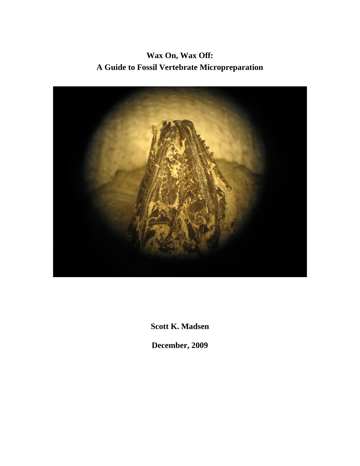**Wax On, Wax Off: A Guide to Fossil Vertebrate Micropreparation**



**Scott K. Madsen**

**December, 2009**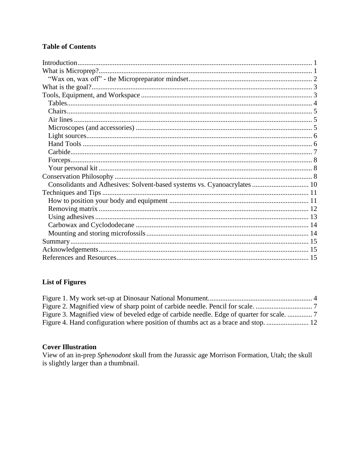# **Table of Contents**

### **List of Figures**

| Figure 3. Magnified view of beveled edge of carbide needle. Edge of quarter for scale. |  |
|----------------------------------------------------------------------------------------|--|
|                                                                                        |  |

# **Cover Illustration**

View of an in-prep *Sphenodont* skull from the Jurassic age Morrison Formation, Utah; the skull is slightly larger than a thumbnail.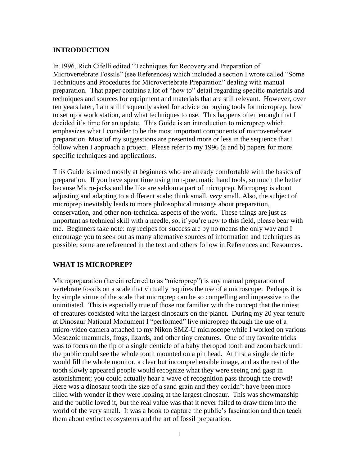#### **INTRODUCTION**

In 1996, Rich Cifelli edited "Techniques for Recovery and Preparation of Microvertebrate Fossils" (see References) which included a section I wrote called "Some Techniques and Procedures for Microvertebrate Preparation" dealing with manual preparation. That paper contains a lot of "how to" detail regarding specific materials and techniques and sources for equipment and materials that are still relevant. However, over ten years later, I am still frequently asked for advice on buying tools for microprep, how to set up a work station, and what techniques to use. This happens often enough that I decided it's time for an update. This Guide is an introduction to microprep which emphasizes what I consider to be the most important components of microvertebrate preparation. Most of my suggestions are presented more or less in the sequence that I follow when I approach a project. Please refer to my 1996 (a and b) papers for more specific techniques and applications.

This Guide is aimed mostly at beginners who are already comfortable with the basics of preparation. If you have spent time using non-pneumatic hand tools, so much the better because Micro-jacks and the like are seldom a part of microprep. Microprep is about adjusting and adapting to a different scale; think small, *very* small. Also, the subject of microprep inevitably leads to more philosophical musings about preparation, conservation, and other non-technical aspects of the work. These things are just as important as technical skill with a needle, so, if you're new to this field, please bear with me. Beginners take note: my recipes for success are by no means the only way and I encourage you to seek out as many alternative sources of information and techniques as possible; some are referenced in the text and others follow in References and Resources.

#### **WHAT IS MICROPREP?**

Micropreparation (herein referred to as "microprep") is any manual preparation of vertebrate fossils on a scale that virtually requires the use of a microscope. Perhaps it is by simple virtue of the scale that microprep can be so compelling and impressive to the uninitiated. This is especially true of those not familiar with the concept that the tiniest of creatures coexisted with the largest dinosaurs on the planet. During my 20 year tenure at Dinosaur National Monument I "performed" live microprep through the use of a micro-video camera attached to my Nikon SMZ-U microscope while I worked on various Mesozoic mammals, frogs, lizards, and other tiny creatures. One of my favorite tricks was to focus on the tip of a single denticle of a baby theropod tooth and zoom back until the public could see the whole tooth mounted on a pin head. At first a single denticle would fill the whole monitor, a clear but incomprehensible image, and as the rest of the tooth slowly appeared people would recognize what they were seeing and gasp in astonishment; you could actually hear a wave of recognition pass through the crowd! Here was a dinosaur tooth the size of a sand grain and they couldn't have been more filled with wonder if they were looking at the largest dinosaur. This was showmanship and the public loved it, but the real value was that it never failed to draw them into the world of the very small. It was a hook to capture the public's fascination and then teach them about extinct ecosystems and the art of fossil preparation.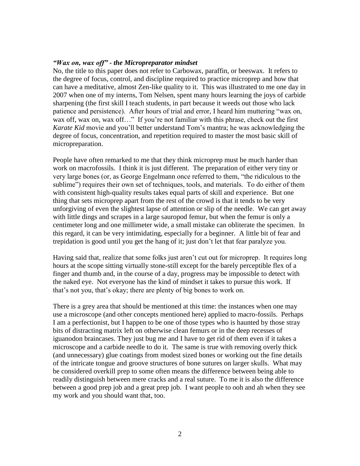#### *"Wax on, wax off" - the Micropreparator mindset*

No, the title to this paper does not refer to Carbowax, paraffin, or beeswax. It refers to the degree of focus, control, and discipline required to practice microprep and how that can have a meditative, almost Zen-like quality to it. This was illustrated to me one day in 2007 when one of my interns, Tom Nelsen, spent many hours learning the joys of carbide sharpening (the first skill I teach students, in part because it weeds out those who lack patience and persistence). After hours of trial and error, I heard him muttering "wax on, wax off, wax on, wax off..." If you're not familiar with this phrase, check out the first *Karate Kid* movie and you'll better understand Tom's mantra; he was acknowledging the degree of focus, concentration, and repetition required to master the most basic skill of micropreparation.

People have often remarked to me that they think microprep must be much harder than work on macrofossils. I think it is just different. The preparation of either very tiny or very large bones (or, as George Engelmann once referred to them, "the ridiculous to the sublime") requires their own set of techniques, tools, and materials. To do either of them with consistent high-quality results takes equal parts of skill and experience. But one thing that sets microprep apart from the rest of the crowd is that it tends to be very unforgiving of even the slightest lapse of attention or slip of the needle. We can get away with little dings and scrapes in a large sauropod femur, but when the femur is only a centimeter long and one millimeter wide, a small mistake can obliterate the specimen. In this regard, it can be very intimidating, especially for a beginner. A little bit of fear and trepidation is good until you get the hang of it; just don't let that fear paralyze you.

Having said that, realize that some folks just aren't cut out for microprep. It requires long hours at the scope sitting virtually stone-still except for the barely perceptible flex of a finger and thumb and, in the course of a day, progress may be impossible to detect with the naked eye. Not everyone has the kind of mindset it takes to pursue this work. If that's not you, that's okay; there are plenty of big bones to work on.

There is a grey area that should be mentioned at this time: the instances when one may use a microscope (and other concepts mentioned here) applied to macro-fossils. Perhaps I am a perfectionist, but I happen to be one of those types who is haunted by those stray bits of distracting matrix left on otherwise clean femurs or in the deep recesses of iguanodon braincases. They just bug me and I have to get rid of them even if it takes a microscope and a carbide needle to do it. The same is true with removing overly thick (and unnecessary) glue coatings from modest sized bones or working out the fine details of the intricate tongue and groove structures of bone sutures on larger skulls. What may be considered overkill prep to some often means the difference between being able to readily distinguish between mere cracks and a real suture. To me it is also the difference between a good prep job and a great prep job. I want people to ooh and ah when they see my work and you should want that, too.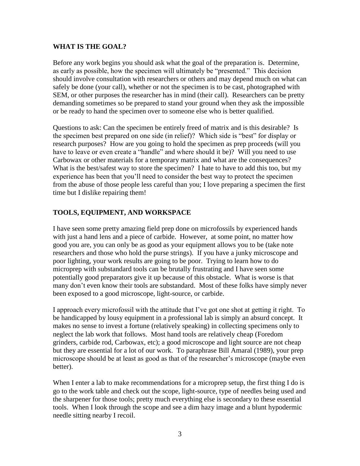#### **WHAT IS THE GOAL?**

Before any work begins you should ask what the goal of the preparation is. Determine, as early as possible, how the specimen will ultimately be "presented." This decision should involve consultation with researchers or others and may depend much on what can safely be done (your call), whether or not the specimen is to be cast, photographed with SEM, or other purposes the researcher has in mind (their call). Researchers can be pretty demanding sometimes so be prepared to stand your ground when they ask the impossible or be ready to hand the specimen over to someone else who is better qualified.

Questions to ask: Can the specimen be entirely freed of matrix and is this desirable? Is the specimen best prepared on one side (in relief)? Which side is "best" for display or research purposes? How are you going to hold the specimen as prep proceeds (will you have to leave or even create a "handle" and where should it be)? Will you need to use Carbowax or other materials for a temporary matrix and what are the consequences? What is the best/safest way to store the specimen? I hate to have to add this too, but my experience has been that you'll need to consider the best way to protect the specimen from the abuse of those people less careful than you; I love preparing a specimen the first time but I dislike repairing them!

# **TOOLS, EQUIPMENT, AND WORKSPACE**

I have seen some pretty amazing field prep done on microfossils by experienced hands with just a hand lens and a piece of carbide. However, at some point, no matter how good you are, you can only be as good as your equipment allows you to be (take note researchers and those who hold the purse strings). If you have a junky microscope and poor lighting, your work results are going to be poor. Trying to learn how to do microprep with substandard tools can be brutally frustrating and I have seen some potentially good preparators give it up because of this obstacle. What is worse is that many don't even know their tools are substandard. Most of these folks have simply never been exposed to a good microscope, light-source, or carbide.

I approach every microfossil with the attitude that I've got one shot at getting it right. To be handicapped by lousy equipment in a professional lab is simply an absurd concept. It makes no sense to invest a fortune (relatively speaking) in collecting specimens only to neglect the lab work that follows. Most hand tools are relatively cheap (Foredom grinders, carbide rod, Carbowax, etc); a good microscope and light source are not cheap but they are essential for a lot of our work. To paraphrase Bill Amaral (1989), your prep microscope should be at least as good as that of the researcher's microscope (maybe even better).

When I enter a lab to make recommendations for a microprep setup, the first thing I do is go to the work table and check out the scope, light-source, type of needles being used and the sharpener for those tools; pretty much everything else is secondary to these essential tools. When I look through the scope and see a dim hazy image and a blunt hypodermic needle sitting nearby I recoil.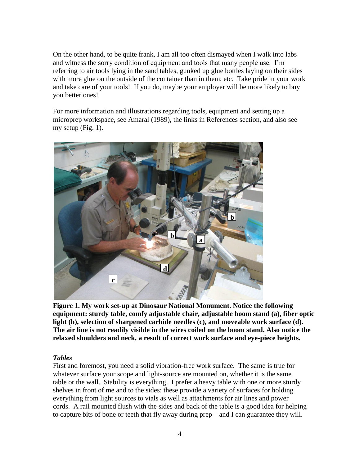On the other hand, to be quite frank, I am all too often dismayed when I walk into labs and witness the sorry condition of equipment and tools that many people use. I'm referring to air tools lying in the sand tables, gunked up glue bottles laying on their sides with more glue on the outside of the container than in them, etc. Take pride in your work and take care of your tools! If you do, maybe your employer will be more likely to buy you better ones!

For more information and illustrations regarding tools, equipment and setting up a microprep workspace, see Amaral (1989), the links in References section, and also see my setup (Fig. 1).



**Figure 1. My work set-up at Dinosaur National Monument. Notice the following equipment: sturdy table, comfy adjustable chair, adjustable boom stand (a), fiber optic light (b), selection of sharpened carbide needles (c), and moveable work surface (d). The air line is not readily visible in the wires coiled on the boom stand. Also notice the relaxed shoulders and neck, a result of correct work surface and eye-piece heights.** 

#### *Tables*

First and foremost, you need a solid vibration-free work surface. The same is true for whatever surface your scope and light-source are mounted on, whether it is the same table or the wall. Stability is everything. I prefer a heavy table with one or more sturdy shelves in front of me and to the sides: these provide a variety of surfaces for holding everything from light sources to vials as well as attachments for air lines and power cords. A rail mounted flush with the sides and back of the table is a good idea for helping to capture bits of bone or teeth that fly away during prep – and I can guarantee they will.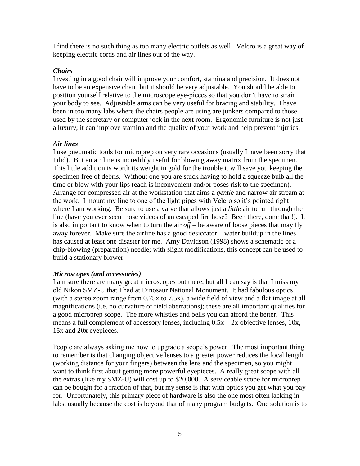I find there is no such thing as too many electric outlets as well. Velcro is a great way of keeping electric cords and air lines out of the way.

#### *Chairs*

Investing in a good chair will improve your comfort, stamina and precision. It does not have to be an expensive chair, but it should be very adjustable. You should be able to position yourself relative to the microscope eye-pieces so that you don't have to strain your body to see. Adjustable arms can be very useful for bracing and stability. I have been in too many labs where the chairs people are using are junkers compared to those used by the secretary or computer jock in the next room. Ergonomic furniture is not just a luxury; it can improve stamina and the quality of your work and help prevent injuries.

#### *Air lines*

I use pneumatic tools for microprep on very rare occasions (usually I have been sorry that I did). But an air line is incredibly useful for blowing away matrix from the specimen. This little addition is worth its weight in gold for the trouble it will save you keeping the specimen free of debris. Without one you are stuck having to hold a squeeze bulb all the time or blow with your lips (each is inconvenient and/or poses risk to the specimen). Arrange for compressed air at the workstation that aims a *gentle* and narrow air stream at the work. I mount my line to one of the light pipes with Velcro so it's pointed right where I am working. Be sure to use a valve that allows just a *little* air to run through the line (have you ever seen those videos of an escaped fire hose? Been there, done that!). It is also important to know when to turn the air  $off -$  be aware of loose pieces that may fly away forever. Make sure the airline has a good desiccator – water buildup in the lines has caused at least one disaster for me. Amy Davidson (1998) shows a schematic of a chip-blowing (preparation) needle; with slight modifications, this concept can be used to build a stationary blower.

#### *Microscopes (and accessories)*

I am sure there are many great microscopes out there, but all I can say is that I miss my old Nikon SMZ-U that I had at Dinosaur National Monument. It had fabulous optics (with a stereo zoom range from 0.75x to 7.5x), a wide field of view and a flat image at all magnifications (i.e. no curvature of field aberrations); these are all important qualities for a good microprep scope. The more whistles and bells you can afford the better. This means a full complement of accessory lenses, including  $0.5x - 2x$  objective lenses,  $10x$ , 15x and 20x eyepieces.

People are always asking me how to upgrade a scope's power. The most important thing to remember is that changing objective lenses to a greater power reduces the focal length (working distance for your fingers) between the lens and the specimen, so you might want to think first about getting more powerful eyepieces. A really great scope with all the extras (like my SMZ-U) will cost up to \$20,000. A serviceable scope for microprep can be bought for a fraction of that, but my sense is that with optics you get what you pay for. Unfortunately, this primary piece of hardware is also the one most often lacking in labs, usually because the cost is beyond that of many program budgets. One solution is to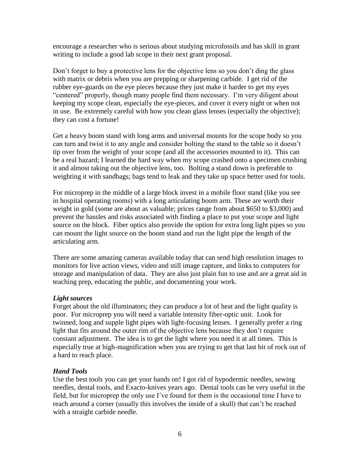encourage a researcher who is serious about studying microfossils and has skill in grant writing to include a good lab scope in their next grant proposal.

Don't forget to buy a protective lens for the objective lens so you don't ding the glass with matrix or debris when you are prepping or sharpening carbide. I get rid of the rubber eye-guards on the eye pieces because they just make it harder to get my eyes "centered" properly, though many people find them necessary. I'm very diligent about keeping my scope clean, especially the eye-pieces, and cover it every night or when not in use. Be extremely careful with how you clean glass lenses (especially the objective); they can cost a fortune!

Get a heavy boom stand with long arms and universal mounts for the scope body so you can turn and twist it to any angle and consider bolting the stand to the table so it doesn't tip over from the weight of your scope (and all the accessories mounted to it). This can be a real hazard; I learned the hard way when my scope crashed onto a specimen crushing it and almost taking out the objective lens, too. Bolting a stand down is preferable to weighting it with sandbags; bags tend to leak and they take up space better used for tools.

For microprep in the middle of a large block invest in a mobile floor stand (like you see in hospital operating rooms) with a long articulating boom arm. These are worth their weight in gold (some are about as valuable; prices range from about \$650 to \$3,000) and prevent the hassles and risks associated with finding a place to put your scope and light source on the block. Fiber optics also provide the option for extra long light pipes so you can mount the light source on the boom stand and run the light pipe the length of the articulating arm.

There are some amazing cameras available today that can send high resolution images to monitors for live action views, video and still image capture, and links to computers for storage and manipulation of data. They are also just plain fun to use and are a great aid in teaching prep, educating the public, and documenting your work.

#### *Light sources*

Forget about the old illuminators; they can produce a lot of heat and the light quality is poor. For microprep you will need a variable intensity fiber-optic unit. Look for twinned, long and supple light pipes with light-focusing lenses. I generally prefer a ring light that fits around the outer rim of the objective lens because they don't require constant adjustment. The idea is to get the light where you need it at all times. This is especially true at high-magnification when you are trying to get that last bit of rock out of a hard to reach place.

### *Hand Tools*

Use the best tools you can get your hands on! I got rid of hypodermic needles, sewing needles, dental tools, and Exacto-knives years ago. Dental tools can be very useful in the field, but for microprep the only use I've found for them is the occasional time I have to reach around a corner (usually this involves the inside of a skull) that can't be reached with a straight carbide needle.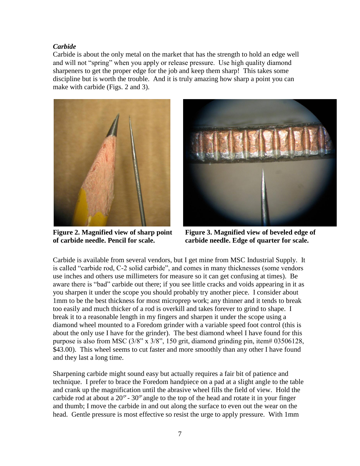#### *Carbide*

Carbide is about the only metal on the market that has the strength to hold an edge well and will not "spring" when you apply or release pressure. Use high quality diamond sharpeners to get the proper edge for the job and keep them sharp! This takes some discipline but is worth the trouble. And it is truly amazing how sharp a point you can make with carbide (Figs. 2 and 3).



**Figure 2. Magnified view of sharp point of carbide needle. Pencil for scale.**



**Figure 3. Magnified view of beveled edge of carbide needle. Edge of quarter for scale.**

Carbide is available from several vendors, but I get mine from MSC Industrial Supply. It is called "carbide rod, C-2 solid carbide", and comes in many thicknesses (some vendors use inches and others use millimeters for measure so it can get confusing at times). Be aware there is "bad" carbide out there; if you see little cracks and voids appearing in it as you sharpen it under the scope you should probably try another piece. I consider about 1mm to be the best thickness for most microprep work; any thinner and it tends to break too easily and much thicker of a rod is overkill and takes forever to grind to shape. I break it to a reasonable length in my fingers and sharpen it under the scope using a diamond wheel mounted to a Foredom grinder with a variable speed foot control (this is about the only use I have for the grinder). The best diamond wheel I have found for this purpose is also from MSC (3/8" x 3/8", 150 grit, diamond grinding pin, item# 03506128, \$43.00). This wheel seems to cut faster and more smoothly than any other I have found and they last a long time.

Sharpening carbide might sound easy but actually requires a fair bit of patience and technique. I prefer to brace the Foredom handpiece on a pad at a slight angle to the table and crank up the magnification until the abrasive wheel fills the field of view. Hold the carbide rod at about a  $20^{\circ}$  -  $30^{\circ}$  angle to the top of the head and rotate it in your finger and thumb; I move the carbide in and out along the surface to even out the wear on the head. Gentle pressure is most effective so resist the urge to apply pressure. With 1mm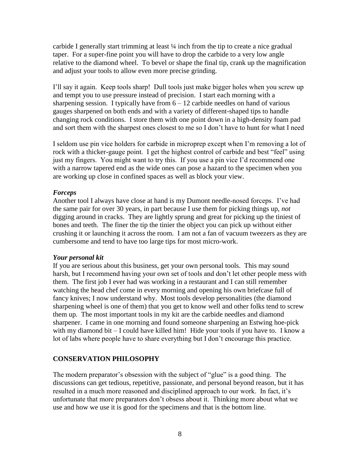carbide I generally start trimming at least  $\frac{1}{4}$  inch from the tip to create a nice gradual taper. For a super-fine point you will have to drop the carbide to a very low angle relative to the diamond wheel. To bevel or shape the final tip, crank up the magnification and adjust your tools to allow even more precise grinding.

I'll say it again. Keep tools sharp! Dull tools just make bigger holes when you screw up and tempt you to use pressure instead of precision. I start each morning with a sharpening session. I typically have from  $6 - 12$  carbide needles on hand of various gauges sharpened on both ends and with a variety of different-shaped tips to handle changing rock conditions. I store them with one point down in a high-density foam pad and sort them with the sharpest ones closest to me so I don't have to hunt for what I need

I seldom use pin vice holders for carbide in microprep except when I'm removing a lot of rock with a thicker-gauge point. I get the highest control of carbide and best "feel" using just my fingers. You might want to try this. If you use a pin vice I'd recommend one with a narrow tapered end as the wide ones can pose a hazard to the specimen when you are working up close in confined spaces as well as block your view.

#### *Forceps*

Another tool I always have close at hand is my Dumont needle-nosed forceps. I've had the same pair for over 30 years, in part because I use them for picking things up, *not* digging around in cracks. They are lightly sprung and great for picking up the tiniest of bones and teeth. The finer the tip the tinier the object you can pick up without either crushing it or launching it across the room. I am not a fan of vacuum tweezers as they are cumbersome and tend to have too large tips for most micro-work.

#### *Your personal kit*

If you are serious about this business, get your own personal tools. This may sound harsh, but I recommend having your own set of tools and don't let other people mess with them. The first job I ever had was working in a restaurant and I can still remember watching the head chef come in every morning and opening his own briefcase full of fancy knives; I now understand why. Most tools develop personalities (the diamond sharpening wheel is one of them) that you get to know well and other folks tend to screw them up. The most important tools in my kit are the carbide needles and diamond sharpener. I came in one morning and found someone sharpening an Estwing hoe-pick with my diamond bit – I could have killed him! Hide your tools if you have to. I know a lot of labs where people have to share everything but I don't encourage this practice.

### **CONSERVATION PHILOSOPHY**

The modern preparator's obsession with the subject of "glue" is a good thing. The discussions can get tedious, repetitive, passionate, and personal beyond reason, but it has resulted in a much more reasoned and disciplined approach to our work. In fact, it's unfortunate that more preparators don't obsess about it. Thinking more about what we use and how we use it is good for the specimens and that is the bottom line.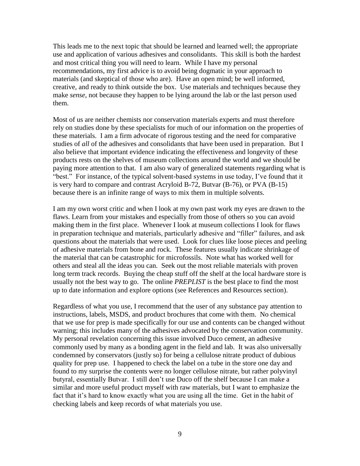This leads me to the next topic that should be learned and learned well; the appropriate use and application of various adhesives and consolidants. This skill is both the hardest and most critical thing you will need to learn. While I have my personal recommendations, my first advice is to avoid being dogmatic in your approach to materials (and skeptical of those who are). Have an open mind; be well informed, creative, and ready to think outside the box. Use materials and techniques because they make *sense*, not because they happen to be lying around the lab or the last person used them.

Most of us are neither chemists nor conservation materials experts and must therefore rely on studies done by these specialists for much of our information on the properties of these materials. I am a firm advocate of rigorous testing and the need for comparative studies of *all* of the adhesives and consolidants that have been used in preparation. But I also believe that important evidence indicating the effectiveness and longevity of these products rests on the shelves of museum collections around the world and we should be paying more attention to that. I am also wary of generalized statements regarding what is "best." For instance, of the typical solvent-based systems in use today, I've found that it is very hard to compare and contrast Acryloid B-72, Butvar (B-76), or PVA (B-15) because there is an infinite range of ways to mix them in multiple solvents.

I am my own worst critic and when I look at my own past work my eyes are drawn to the flaws. Learn from your mistakes and especially from those of others so you can avoid making them in the first place. Whenever I look at museum collections I look for flaws in preparation technique and materials, particularly adhesive and "filler" failures, and ask questions about the materials that were used. Look for clues like loose pieces and peeling of adhesive materials from bone and rock. These features usually indicate shrinkage of the material that can be catastrophic for microfossils. Note what has worked well for others and steal all the ideas you can. Seek out the most reliable materials with proven long term track records. Buying the cheap stuff off the shelf at the local hardware store is usually not the best way to go. The online *PREPLIST* is the best place to find the most up to date information and explore options (see References and Resources section).

Regardless of what you use, I recommend that the user of any substance pay attention to instructions, labels, MSDS, and product brochures that come with them. No chemical that we use for prep is made specifically for our use and contents can be changed without warning; this includes many of the adhesives advocated by the conservation community. My personal revelation concerning this issue involved Duco cement, an adhesive commonly used by many as a bonding agent in the field and lab. It was also universally condemned by conservators (justly so) for being a cellulose nitrate product of dubious quality for prep use. I happened to check the label on a tube in the store one day and found to my surprise the contents were no longer cellulose nitrate, but rather polyvinyl butyral, essentially Butvar. I still don't use Duco off the shelf because I can make a similar and more useful product myself with raw materials, but I want to emphasize the fact that it's hard to know exactly what you are using all the time. Get in the habit of checking labels and keep records of what materials you use.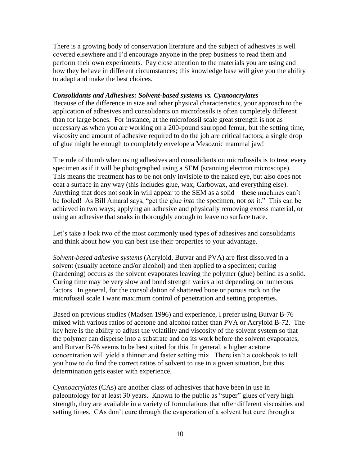There is a growing body of conservation literature and the subject of adhesives is well covered elsewhere and I'd encourage anyone in the prep business to read them and perform their own experiments. Pay close attention to the materials you are using and how they behave in different circumstances; this knowledge base will give you the ability to adapt and make the best choices.

#### *Consolidants and Adhesives: Solvent-based systems vs. Cyanoacrylates*

Because of the difference in size and other physical characteristics, your approach to the application of adhesives and consolidants on microfossils is often completely different than for large bones. For instance, at the microfossil scale great strength is not as necessary as when you are working on a 200-pound sauropod femur, but the setting time, viscosity and amount of adhesive required to do the job are critical factors; a single drop of glue might be enough to completely envelope a Mesozoic mammal jaw!

The rule of thumb when using adhesives and consolidants on microfossils is to treat every specimen as if it will be photographed using a SEM (scanning electron microscope). This means the treatment has to be not only invisible to the naked eye, but also does not coat a surface in any way (this includes glue, wax, Carbowax, and everything else). Anything that does not soak in will appear to the SEM as a solid – these machines can't be fooled! As Bill Amaral says, "get the glue *into* the specimen, not *on* it." This can be achieved in two ways; applying an adhesive and physically removing excess material, or using an adhesive that soaks in thoroughly enough to leave no surface trace.

Let's take a look two of the most commonly used types of adhesives and consolidants and think about how you can best use their properties to your advantage.

*Solvent-based adhesive systems* (Acryloid, Butvar and PVA) are first dissolved in a solvent (usually acetone and/or alcohol) and then applied to a specimen; curing (hardening) occurs as the solvent evaporates leaving the polymer (glue) behind as a solid. Curing time may be very slow and bond strength varies a lot depending on numerous factors. In general, for the consolidation of shattered bone or porous rock on the microfossil scale I want maximum control of penetration and setting properties.

Based on previous studies (Madsen 1996) and experience, I prefer using Butvar B-76 mixed with various ratios of acetone and alcohol rather than PVA or Acryloid B-72. The key here is the ability to adjust the volatility and viscosity of the solvent system so that the polymer can disperse into a substrate and do its work before the solvent evaporates, and Butvar B-76 seems to be best suited for this. In general, a higher acetone concentration will yield a thinner and faster setting mix. There isn't a cookbook to tell you how to do find the correct ratios of solvent to use in a given situation, but this determination gets easier with experience.

*Cyanoacrylates* (CAs) are another class of adhesives that have been in use in paleontology for at least 30 years. Known to the public as "super" glues of very high strength, they are available in a variety of formulations that offer different viscosities and setting times. CAs don't cure through the evaporation of a solvent but cure through a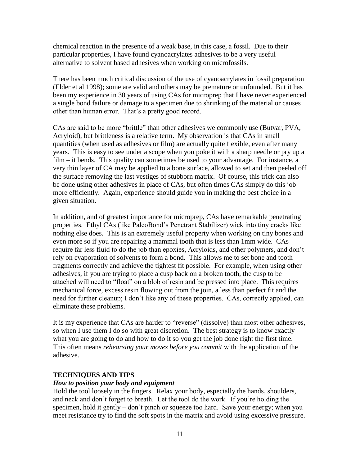chemical reaction in the presence of a weak base, in this case, a fossil. Due to their particular properties, I have found cyanoacrylates adhesives to be a very useful alternative to solvent based adhesives when working on microfossils.

There has been much critical discussion of the use of cyanoacrylates in fossil preparation (Elder et al 1998); some are valid and others may be premature or unfounded. But it has been my experience in 30 years of using CAs for microprep that I have never experienced a single bond failure or damage to a specimen due to shrinking of the material or causes other than human error. That's a pretty good record.

CAs are said to be more "brittle" than other adhesives we commonly use (Butvar, PVA, Acryloid), but brittleness is a relative term. My observation is that CAs in small quantities (when used as adhesives or film) are actually quite flexible, even after many years. This is easy to see under a scope when you poke it with a sharp needle or pry up a film – it bends. This quality can sometimes be used to your advantage. For instance, a very thin layer of CA may be applied to a bone surface, allowed to set and then peeled off the surface removing the last vestiges of stubborn matrix. Of course, this trick can also be done using other adhesives in place of CAs, but often times CAs simply do this job more efficiently. Again, experience should guide you in making the best choice in a given situation.

In addition, and of greatest importance for microprep, CAs have remarkable penetrating properties. Ethyl CAs (like PaleoBond's Penetrant Stabilizer) wick into tiny cracks like nothing else does. This is an extremely useful property when working on tiny bones and even more so if you are repairing a mammal tooth that is less than 1mm wide. CAs require far less fluid to do the job than epoxies, Acryloids, and other polymers, and don't rely on evaporation of solvents to form a bond. This allows me to set bone and tooth fragments correctly and achieve the tightest fit possible. For example, when using other adhesives, if you are trying to place a cusp back on a broken tooth, the cusp to be attached will need to "float" on a blob of resin and be pressed into place. This requires mechanical force, excess resin flowing out from the join, a less than perfect fit and the need for further cleanup; I don't like any of these properties. CAs, correctly applied, can eliminate these problems.

It is my experience that CAs are harder to "reverse" (dissolve) than most other adhesives, so when I use them I do so with great discretion. The best strategy is to know exactly what you are going to do and how to do it so you get the job done right the first time. This often means *rehearsing your moves before you commit* with the application of the adhesive.

#### **TECHNIQUES AND TIPS**

#### *How to position your body and equipment*

Hold the tool loosely in the fingers. Relax your body, especially the hands, shoulders, and neck and don't forget to breath. Let the tool do the work. If you're holding the specimen, hold it gently – don't pinch or squeeze too hard. Save your energy; when you meet resistance try to find the soft spots in the matrix and avoid using excessive pressure.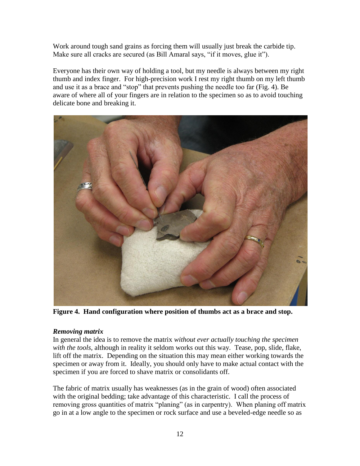Work around tough sand grains as forcing them will usually just break the carbide tip. Make sure all cracks are secured (as Bill Amaral says, "if it moves, glue it").

Everyone has their own way of holding a tool, but my needle is always between my right thumb and index finger. For high-precision work I rest my right thumb on my left thumb and use it as a brace and "stop" that prevents pushing the needle too far (Fig. 4). Be aware of where all of your fingers are in relation to the specimen so as to avoid touching delicate bone and breaking it.



**Figure 4. Hand configuration where position of thumbs act as a brace and stop.**

### *Removing matrix*

In general the idea is to remove the matrix *without ever actually touching the specimen with the tools,* although in reality it seldom works out this way*.* Tease, pop, slide, flake, lift off the matrix. Depending on the situation this may mean either working towards the specimen or away from it. Ideally, you should only have to make actual contact with the specimen if you are forced to shave matrix or consolidants off.

The fabric of matrix usually has weaknesses (as in the grain of wood) often associated with the original bedding; take advantage of this characteristic. I call the process of removing gross quantities of matrix "planing" (as in carpentry). When planing off matrix go in at a low angle to the specimen or rock surface and use a beveled-edge needle so as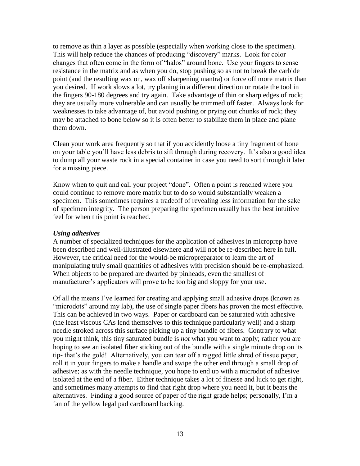to remove as thin a layer as possible (especially when working close to the specimen). This will help reduce the chances of producing "discovery" marks. Look for color changes that often come in the form of "halos" around bone. Use your fingers to sense resistance in the matrix and as when you do, stop pushing so as not to break the carbide point (and the resulting wax on, wax off sharpening mantra) or force off more matrix than you desired. If work slows a lot, try planing in a different direction or rotate the tool in the fingers 90-180 degrees and try again. Take advantage of thin or sharp edges of rock; they are usually more vulnerable and can usually be trimmed off faster. Always look for weaknesses to take advantage of, but avoid pushing or prying out chunks of rock; they may be attached to bone below so it is often better to stabilize them in place and plane them down.

Clean your work area frequently so that if you accidently loose a tiny fragment of bone on your table you'll have less debris to sift through during recovery. It's also a good idea to dump all your waste rock in a special container in case you need to sort through it later for a missing piece.

Know when to quit and call your project "done". Often a point is reached where you could continue to remove more matrix but to do so would substantially weaken a specimen. This sometimes requires a tradeoff of revealing less information for the sake of specimen integrity. The person preparing the specimen usually has the best intuitive feel for when this point is reached.

#### *Using adhesives*

A number of specialized techniques for the application of adhesives in microprep have been described and well-illustrated elsewhere and will not be re-described here in full. However, the critical need for the would-be micropreparator to learn the art of manipulating truly small quantities of adhesives with precision should be re-emphasized. When objects to be prepared are dwarfed by pinheads, even the smallest of manufacturer's applicators will prove to be too big and sloppy for your use.

Of all the means I've learned for creating and applying small adhesive drops (known as "microdots" around my lab), the use of single paper fibers has proven the most effective. This can be achieved in two ways. Paper or cardboard can be saturated with adhesive (the least viscous CAs lend themselves to this technique particularly well) and a sharp needle stroked across this surface picking up a tiny bundle of fibers. Contrary to what you might think, this tiny saturated bundle is *not* what you want to apply; rather you are hoping to see an isolated fiber sticking out of the bundle with a single minute drop on its tip- that's the gold! Alternatively, you can tear off a ragged little shred of tissue paper, roll it in your fingers to make a handle and swipe the other end through a small drop of adhesive; as with the needle technique, you hope to end up with a microdot of adhesive isolated at the end of a fiber. Either technique takes a lot of finesse and luck to get right, and sometimes many attempts to find that right drop where you need it, but it beats the alternatives. Finding a good source of paper of the right grade helps; personally, I'm a fan of the yellow legal pad cardboard backing.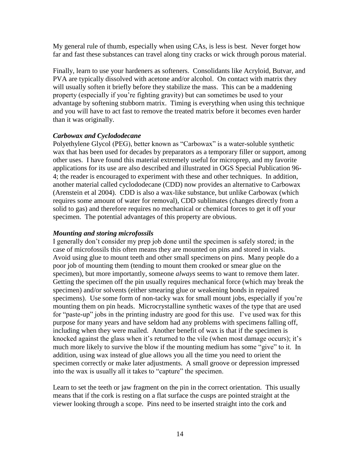My general rule of thumb, especially when using CAs, is less is best. Never forget how far and fast these substances can travel along tiny cracks or wick through porous material.

Finally, learn to use your hardeners as softeners. Consolidants like Acryloid, Butvar, and PVA are typically dissolved with acetone and/or alcohol. On contact with matrix they will usually soften it briefly before they stabilize the mass. This can be a maddening property (especially if you're fighting gravity) but can sometimes be used to your advantage by softening stubborn matrix. Timing is everything when using this technique and you will have to act fast to remove the treated matrix before it becomes even harder than it was originally.

#### *Carbowax and Cyclododecane*

Polyethylene Glycol (PEG), better known as "Carbowax" is a water-soluble synthetic wax that has been used for decades by preparators as a temporary filler or support, among other uses. I have found this material extremely useful for microprep, and my favorite applications for its use are also described and illustrated in OGS Special Publication 96- 4; the reader is encouraged to experiment with these and other techniques. In addition, another material called cyclododecane (CDD) now provides an alternative to Carbowax (Arenstein et al 2004). CDD is also a wax-like substance, but unlike Carbowax (which requires some amount of water for removal), CDD sublimates (changes directly from a solid to gas) and therefore requires no mechanical or chemical forces to get it off your specimen. The potential advantages of this property are obvious.

### *Mounting and storing microfossils*

I generally don't consider my prep job done until the specimen is safely stored; in the case of microfossils this often means they are mounted on pins and stored in vials. Avoid using glue to mount teeth and other small specimens on pins. Many people do a poor job of mounting them (tending to mount them crooked or smear glue on the specimen), but more importantly, someone *always* seems to want to remove them later. Getting the specimen off the pin usually requires mechanical force (which may break the specimen) and/or solvents (either smearing glue or weakening bonds in repaired specimens). Use some form of non-tacky wax for small mount jobs, especially if you're mounting them on pin heads. Microcrystalline synthetic waxes of the type that are used for "paste-up" jobs in the printing industry are good for this use. I've used wax for this purpose for many years and have seldom had any problems with specimens falling off, including when they were mailed. Another benefit of wax is that if the specimen is knocked against the glass when it's returned to the vile (when most damage occurs); it's much more likely to survive the blow if the mounting medium has some "give" to it. In addition, using wax instead of glue allows you all the time you need to orient the specimen correctly or make later adjustments. A small groove or depression impressed into the wax is usually all it takes to "capture" the specimen.

Learn to set the teeth or jaw fragment on the pin in the correct orientation. This usually means that if the cork is resting on a flat surface the cusps are pointed straight at the viewer looking through a scope. Pins need to be inserted straight into the cork and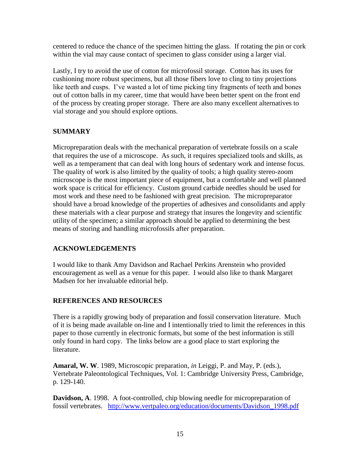centered to reduce the chance of the specimen hitting the glass. If rotating the pin or cork within the vial may cause contact of specimen to glass consider using a larger vial.

Lastly, I try to avoid the use of cotton for microfossil storage. Cotton has its uses for cushioning more robust specimens, but all those fibers love to cling to tiny projections like teeth and cusps. I've wasted a lot of time picking tiny fragments of teeth and bones out of cotton balls in my career, time that would have been better spent on the front end of the process by creating proper storage. There are also many excellent alternatives to vial storage and you should explore options.

# **SUMMARY**

Micropreparation deals with the mechanical preparation of vertebrate fossils on a scale that requires the use of a microscope. As such, it requires specialized tools and skills, as well as a temperament that can deal with long hours of sedentary work and intense focus. The quality of work is also limited by the quality of tools; a high quality stereo-zoom microscope is the most important piece of equipment, but a comfortable and well planned work space is critical for efficiency. Custom ground carbide needles should be used for most work and these need to be fashioned with great precision. The micropreparator should have a broad knowledge of the properties of adhesives and consolidants and apply these materials with a clear purpose and strategy that insures the longevity and scientific utility of the specimen; a similar approach should be applied to determining the best means of storing and handling microfossils after preparation.

### **ACKNOWLEDGEMENTS**

I would like to thank Amy Davidson and Rachael Perkins Arenstein who provided encouragement as well as a venue for this paper. I would also like to thank Margaret Madsen for her invaluable editorial help.

# **REFERENCES AND RESOURCES**

There is a rapidly growing body of preparation and fossil conservation literature. Much of it is being made available on-line and I intentionally tried to limit the references in this paper to those currently in electronic formats, but some of the best information is still only found in hard copy. The links below are a good place to start exploring the literature.

**Amaral, W. W**. 1989, Microscopic preparation, *in* Leiggi, P. and May, P. (eds.), Vertebrate Paleontological Techniques, Vol. 1: Cambridge University Press, Cambridge, p. 129-140.

**Davidson, A**. 1998. A foot-controlled, chip blowing needle for micropreparation of fossil vertebrates. [http://www.vertpaleo.org/education/documents/Davidson\\_1998.pdf](http://www.vertpaleo.org/education/documents/Davidson_1998.pdf)